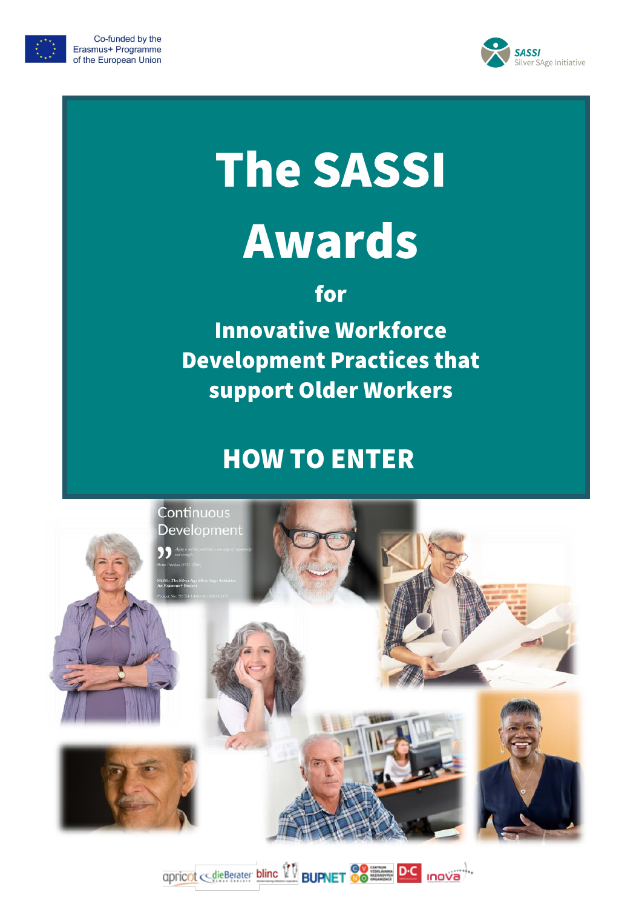



# **The SASSI Awards**

for

**Innovative Workforce Development Practices that** support Older Workers

## **HOW TO ENTER**